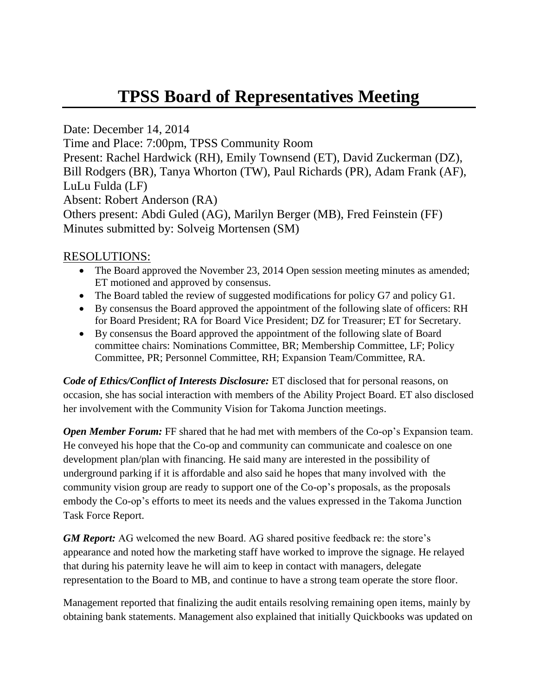# **TPSS Board of Representatives Meeting**

Date: December 14, 2014 Time and Place: 7:00pm, TPSS Community Room Present: Rachel Hardwick (RH), Emily Townsend (ET), David Zuckerman (DZ), Bill Rodgers (BR), Tanya Whorton (TW), Paul Richards (PR), Adam Frank (AF), LuLu Fulda (LF) Absent: Robert Anderson (RA) Others present: Abdi Guled (AG), Marilyn Berger (MB), Fred Feinstein (FF) Minutes submitted by: Solveig Mortensen (SM)

#### RESOLUTIONS:

- The Board approved the November 23, 2014 Open session meeting minutes as amended; ET motioned and approved by consensus.
- The Board tabled the review of suggested modifications for policy G7 and policy G1.
- By consensus the Board approved the appointment of the following slate of officers: RH for Board President; RA for Board Vice President; DZ for Treasurer; ET for Secretary.
- By consensus the Board approved the appointment of the following slate of Board committee chairs: Nominations Committee, BR; Membership Committee, LF; Policy Committee, PR; Personnel Committee, RH; Expansion Team/Committee, RA.

*Code of Ethics/Conflict of Interests Disclosure:* ET disclosed that for personal reasons, on occasion, she has social interaction with members of the Ability Project Board. ET also disclosed her involvement with the Community Vision for Takoma Junction meetings.

*Open Member Forum:* FF shared that he had met with members of the Co-op's Expansion team. He conveyed his hope that the Co-op and community can communicate and coalesce on one development plan/plan with financing. He said many are interested in the possibility of underground parking if it is affordable and also said he hopes that many involved with the community vision group are ready to support one of the Co-op's proposals, as the proposals embody the Co-op's efforts to meet its needs and the values expressed in the Takoma Junction Task Force Report.

*GM Report:* AG welcomed the new Board. AG shared positive feedback re: the store's appearance and noted how the marketing staff have worked to improve the signage. He relayed that during his paternity leave he will aim to keep in contact with managers, delegate representation to the Board to MB, and continue to have a strong team operate the store floor.

Management reported that finalizing the audit entails resolving remaining open items, mainly by obtaining bank statements. Management also explained that initially Quickbooks was updated on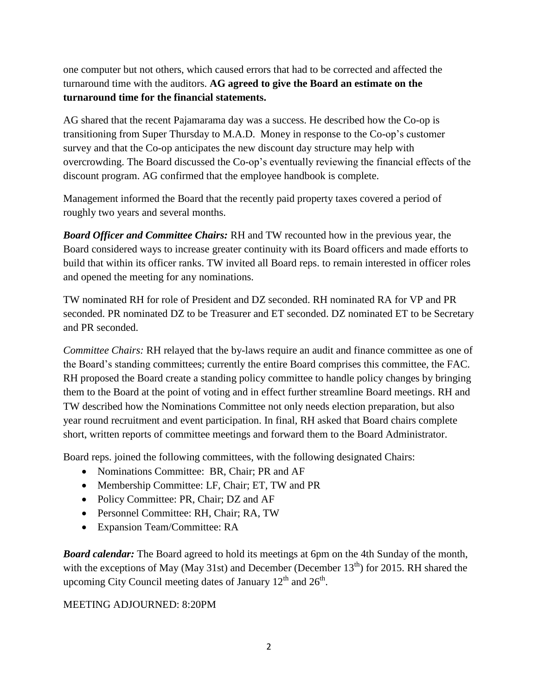one computer but not others, which caused errors that had to be corrected and affected the turnaround time with the auditors. **AG agreed to give the Board an estimate on the turnaround time for the financial statements.**

AG shared that the recent Pajamarama day was a success. He described how the Co-op is transitioning from Super Thursday to M.A.D. Money in response to the Co-op's customer survey and that the Co-op anticipates the new discount day structure may help with overcrowding. The Board discussed the Co-op's eventually reviewing the financial effects of the discount program. AG confirmed that the employee handbook is complete.

Management informed the Board that the recently paid property taxes covered a period of roughly two years and several months.

*Board Officer and Committee Chairs:* RH and TW recounted how in the previous year, the Board considered ways to increase greater continuity with its Board officers and made efforts to build that within its officer ranks. TW invited all Board reps. to remain interested in officer roles and opened the meeting for any nominations.

TW nominated RH for role of President and DZ seconded. RH nominated RA for VP and PR seconded. PR nominated DZ to be Treasurer and ET seconded. DZ nominated ET to be Secretary and PR seconded.

*Committee Chairs:* RH relayed that the by-laws require an audit and finance committee as one of the Board's standing committees; currently the entire Board comprises this committee, the FAC. RH proposed the Board create a standing policy committee to handle policy changes by bringing them to the Board at the point of voting and in effect further streamline Board meetings. RH and TW described how the Nominations Committee not only needs election preparation, but also year round recruitment and event participation. In final, RH asked that Board chairs complete short, written reports of committee meetings and forward them to the Board Administrator.

Board reps. joined the following committees, with the following designated Chairs:

- Nominations Committee: BR, Chair; PR and AF
- Membership Committee: LF, Chair; ET, TW and PR
- Policy Committee: PR, Chair; DZ and AF
- Personnel Committee: RH, Chair; RA, TW
- Expansion Team/Committee: RA

*Board calendar:* The Board agreed to hold its meetings at 6pm on the 4th Sunday of the month, with the exceptions of May (May 31st) and December (December  $13<sup>th</sup>$ ) for 2015. RH shared the upcoming City Council meeting dates of January  $12<sup>th</sup>$  and  $26<sup>th</sup>$ .

#### MEETING ADJOURNED: 8:20PM